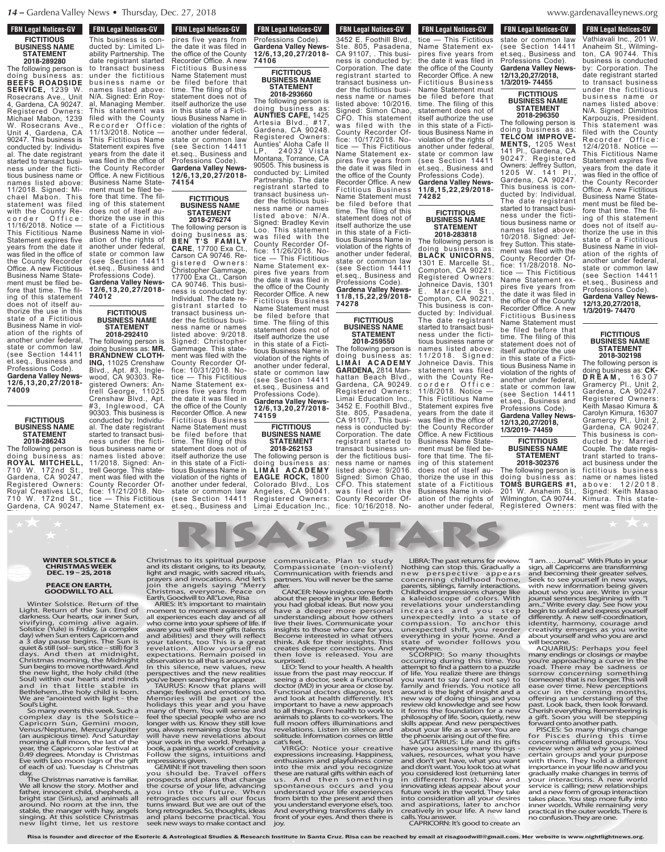# **FBN Legal Notices-GV FICTITIOUS BUSINESS NAME STATEMENT**

**2018-289280** The following person is doing business as: **BEEFS ROADSIDE SERVICE,** 1239 W. Rosecrans Ave., Unit 4, Gardena, CA 90247. Registered Owners: Michael Mabon, 1239 W. Rosecrans Ave., Unit 4, Gardena, CA 90247. This business is conducted by: Individual. The date registrant started to transact business under the fictitious business name or names listed above: 11/2018. Signed: Michael Mabon. This statement was filed with the County Recorder Office: 11/16/2018. Notice — This Fictitious Name Statement expires five years from the date it was filed in the office of the County Recorder Office. A new Fictitious Business Name Statement must be filed before that time. The filing of this statement does not of itself authorize the use in this state of a Fictitious Business Name in violation of the rights of another under federal, state or common law (see Section 14411 et.seq., Business and Professions Code). **Gardena Valley News-12/6,13,20,27/2018-**

**FICTITIOUS BUSINESS NAME STATEMENT**

**74009**

**2018-286243** The following person is doing business as: **ROYAL MITCHELL,** 710 W. 172nd St., Gardena, CA 90247. Registered Owners: Royal Creatives LLC, 710 W. 172nd St., Gardena, CA 90247.

★★ ★

**FBN Legal Notices-GV FBN Legal Notices-GV** FON Legal Nutries-GV This business is conducted by: Limited Liability Partnership. The date registrant started to transact business under the fictitious business name or names listed above: N/A. Signed: Erin Royal, Managing Member. This statement was filed with the County Recorder Office: 11/13/2018. Notice — This Fictitious Name Statement expires five years from the date it was filed in the office of the County Recorder Office. A new Fictitious Business Name Statement must be filed before that time. The filing of this statement does not of itself authorize the use in this state of a Fictitious Business Name in violation of the rights of another under federal, state or common law (see Section 14411

et.seq., Business and Professions Code). **Gardena Valley News-12/6,13,20,27/2018-**

**FICTITIOUS BUSINESS NAME STATEMENT 2018-292410** The following person is doing business as: **MR. BRANDNEW CLOTH-ING,** 11025 Crenshaw Blvd., Apt. #3, Inglewood, CA 90303. Re-

**74012**

**TEN LEGAL NULLES-GV** pires five years from the date it was filed in the office of the County Recorder Office. A new Fictitious Business Name Statement must be filed before that time. The filing of this statement does not of itself authorize the use in this state of a Fictitious Business Name in violation of the rights of another under federal, state or common law (see Section 14411 et.seq., Business and Professions Code). **Gardena Valley News-12/6,13,20,27/2018- 74154**

### **FICTITIOUS BUSINESS NAME STATEMENT 2018-276274**

The following person is doing business as: **BEN T'S FA M ILY CARE**, 17700 Exa Ct., Carson CA 90746. Registered Owners: Christopher Gammage, 17700 Exa Ct., Carson CA 90746. This business is conducted by: Individual. The date registrant started to transact business under the fictitious business name or names listed above: 9/2018. Signed: Christopher Gammage. This statement was filed with the County Recorder Office: 10/31/2018. Notice — This Fictitious Name Statement expires five years from the date it was filed in the office of the County Recorder Office. A new Fictitious Business Name Statement must be filed before that time. The filing of this statement does not of itself authorize the use in this state of a Fictitious Business Name in violation of the rights of another under federal, state or common law (see Section 14411

## **FBN Legal Notices-GV EXAGE ENDINE CONCRETE AND THE STATE** Professions Code). **Gardena Valley News-12/6,13,20,27/2018- 74106**

**FICTITIOUS BUSINESS NAME STATEMENT 2018-293660**

The following person is doing business as: **AUNTIES CAFE,** 1425 Artesia Blvd., #17, Gardena, CA 90248. Registered Owners: Aunties' Aloha Cafe II LP, 24032 Vista Montana, Torrance, CA 90505. This business is conducted by: Limited Partnership. The date registrant started to transact business under the fictitious business name or names listed above: N/A. Signed: Bradley Kevin Loo. This statement was filed with the County Recorder Office: 11/26/2018. Notice — This Fictitious Name Statement expires five years from the date it was filed in the office of the County Recorder Office. A new Fictitious Business Name Statement must be filed before that time. The filing of this statement does not of itself authorize the use in this state of a Fictitious Business Name in violation of the rights of another under federal, state or common law (see Section 14411 et.seq., Business and

Professions Code). **Gardena Valley News-12/6,13,20,27/2018- 74159**

# **FICTITIOUS BUSINESS NAME STATEMENT 2018-262153**

The following person is doing business as: **L I M A I A C A D E M Y EAGLE ROCK,** 1800 Colorado Blvd., Los Angeles, CA 90041. Registered Owners: Limai Education Inc.,

Ste. 805, Pasadena, CA 91107, . This business is conducted by: Corporation. The date registrant started to

**FBN Legal Notices-GV Limage Education Inc., Education Inc., 1989** 3452 E. Foothill Blvd., Ste. 805, Pasadena, CA 91107, . This business is conducted by: Corporation. The date registrant started to transact business under the fictitious business name or names listed above: 10/2016. Signed: Simon Chao, CFO. This statement was filed with the County Recorder Office: 10/17/2018. Notice — This Fictitious Name Statement expires five years from the date it was filed in the office of the County Recorder Office. A new Fictitious Business Name Statement must be filed before that time. The filing of this statement does not of itself authorize the use in this state of a Fictitious Business Name in violation of the rights of another under federal, state or common law (see Section 14411 et.seq., Business and Professions Code). **Gardena Valley News-11/8,15,22,29/2018-**

**FICTITIOUS BUSINESS NAME STATEMENT 2018-259550**

**74278**

The following person is doing business as: **L I M A I A C A D E M Y GARDENA,** 2814 Manhattan Beach Blvd. Gardena, CA 90249. Registered Owners: Limai Education Inc., 3452 E. Foothill Blvd., Ste. 805, Pasadena, CA 91107, . This business is conducted by: Corporation. The date registrant started to transact business under the fictitious business name or names listed above: 9/2016. Signed: Simon Chao, CFO. This statement was filed with the County Recorder Office: 10/16/2018. No-

Name Statement expires five years from the date is defined in the office of the County Recorder Office. A new

**FBN Legal Notices-GV** FIGURE FIGURES-CITY tice — This Fictitious Name Statement expires five years from the date it was filed in the office of the County Recorder Office. A new Fictitious Business Name Statement must be filed before that time. The filing of this statement does not of itself authorize the use in this state of a Fictitious Business Name in violation of the rights of another under federal, state or common law (see Section 14411 et.seq., Business and Professions Code). **Gardena Valley News-11/8,15,22,29/2018- 74282**

### **FICTITIOUS BUSINESS NAME STATEMENT 2018-283818**

The following person is doing business as: **BLACK UNICORNS,** 1301 E. Marcelle St., Compton, CA 90221. Registered Owners: Johneice Davis, 1301 E. Marcelle St., Compton, CA 90221. This business is conducted by: Individual. The date registrant started to transact business under the fictitious business name or names listed above: 11/2018. Signed: Johneice Davis. This statement was filed with the County Recorder Office: 11/8/2018. Notice — This Fictitious Name Statement expires five years from the date it was filed in the office of the County Recorder Office. A new Fictitious Business Name Statement must be filed before that time. The filing of this statement does not of itself authorize the use in this state of a Fictitious Business Name in violation of the rights of another under federal,

#### $\theta$  denavalleynews www.gardenavalleynews.org Business Name in viol-

**FBN Legal Notices-GV** 

**Register Induces-GV** Vathiavali Inc., 201 W. Anaheim St., Wilming-

**FBN Legal Notices-GV TEN LEGAL NULLES-GV** state or common law (see Section 14411 et.seq., Business and Professions Code). **Gardena Valley News-12/13,20,27/2018, 1/3/2019- 74455**

**FICTITIOUS BUSINESS NAME STATEMENT 2018-296350**

The following person is doing business as: **TELCOM IMPROVE-MENTS,** 1205 West 141 Pl., Gardena, CA 90247. Registered Owners: Jeffrey Sutton, 1205 W. 141 Pl., Gardena, CA 90247. This business is conducted by: Individual. The date registrant started to transact business under the fictitious business name or names listed above: 10/2018. Signed: Jeffrey Sutton. This statement was filed with the County Recorder Office: 11/28/2018. Notice — This Fictitious Name Statement expires five years from the date it was filed in the office of the County Recorder Office. A new Fictitious Business Name Statement must be filed before that time. The filing of this statement does not of itself authorize the use in this state of a Fictitious Business Name in violation of the rights of another under federal, state or common law (see Section 14411 et.seq., Business and Professions Code). **Gardena Valley News-**

# **1/3/2019- 74459 FICTITIOUS BUSINESS NAME STATEMENT**

**12/13,20,27/2018,**

**2018-302376** The following person is doing business as: **TOMS BURGERS #1,** 201 W. Anaheim St., Wilmington, CA 90744. Registered Owners:

ton, CA 90744. This business is conducted by: Corporation. The date registrant started

ton, CA 90744. This business is conducted by: Corporation. The date registrant started to transact business under the fictitious business name or names listed above: N/A. Signed: Dimitrios Karpouzis, President. This statement was filed with the County Recorder Office: 12/4/2018. Notice — This Fictitious Name Statement expires five years from the date it was filed in the office of the County Recorder Office. A new Fictitious Business Name Statement must be filed before that time. The filing of this statement does not of itself authorize the use in this state of a Fictitious Business Name in violation of the rights of another under federal, state or common law state Section 14411 et.seq., Business and

Professions Code). **Gardena Valley News-12/13,20,27/2018, 1/3/2019- 74470**

# **FICTITIOUS BUSINESS NAME STATEMENT 2018-302198**

The following person doing business as: **CK-D R E A M ,** 1 6 3 0 7 Gramercy Pl., Unit 2, Gardena, CA 90247. Registered Owners: Keith Masao Kimura & Carolyn Kimura, 16307 Gramercy Pl., Unit 2, Gardena, CA 90247. This business is conducted by: Married Couple. The date registrant started to transact business under the fictitious business name or names listed<br>above: 12/2018. a b o v e : 1 2 / 2 0 1 8 . Signed: Keith Masao Kimura. This statement was filed with the

 $\theta$  the County Recorder  $\theta$ 

#### $\epsilon$  filed before the files of  $\epsilon$ **SIICE &** CNIS<br>WEEK and t statement does not only the contract of the contract of the contract of the contract of the contract of the co<br>Second the contract of the contract of the contract of the contract of the contract of the contract of the con bus ines s name or names listed above:  **WINTER SOLSTICE & CHRISTMAS WEEK** N/A. Signed: Erin Britain Royalds al, Managing Member. **DEC. 19 – 25, 2018**

# **PEACE ON EARTH,**  $\begin{array}{c} \text{prod} \\ \text{join} \end{array}$ filed with the County **GOODWILL TO ALL**

 $\mathsf{Earth}$ Return of the ARI<br>Sup End of mann state or common<br>State of common common law our limer suri, all ex<br>alive again. who e<br>av. (a complex aware **i** Capricorn and and a<br>ns. The Sun is your **12/6,13,20,27/2018- 74154**  $\mathcal{L}$  e r  $\mathcal{L}$  o f i c e  $\mathcal{L}$ Winter Solstice<br>Light Betwee of t Tight. Return of t<br>This Fiction aanness. Oar near<br>vivifying, comin<br>Solstice (Yule) is Fr day) when Sun ente a 3 day pause be quiet & still (sol– sui days. And then Christmas mornin surfbegins to move ing the thing our h and in that lit Bethlehem...the ho We are "anointed Soul's Light.<br>Cameron in violence Winter Solstice. Return of the Light. Return of the Sun. End of darkness. Our hearts, our inner Sun, vivifying, coming alive again. Solstice (Yule) is Friday, (a complex day) when Sun enters Capricorn and a 3 day pause begins. The Sun is quiet & still (sol– sun, stice – still) for 3 days. And then at midnight, Christmas morning, the Midnight Sun begins to move northward. And the new light, the holy child (the Soul) within our hearts and minds and in that little stable in Bethlehem...the holy child is born. We are "anointed with light - the Soul's Light.

so many events<br>complex day is complex under the state of common venus/Neptune. (an auspicious tim morning a full mod year, the Capricorr<br>0.49 degrees. Mon **12/6,13,20,2018-12/6,2019**<br>Carlo 2012, 12/01 **74012** So many events this week. Such a complex day is the Solstice-<br>Capricorn Sun, Gemini moon,<br>Venus/Neptune, Mercury/Jupiter<br>(an auspicious time). And Saturday<br>(an auspicious time). And Saturday<br>morning a full moon, the last of the<br>9.49 degrees. Monday is Chr

day. The Christmas narrative is familiar. We all know the story. Mother and father, innocent child, shepherds, a bright star (Sirius), and animals all around. No room at the inn, the stable, the manger with hay, angels singing. At this solstice Christmas new light time, let us restore

 $\sum_{\text{max}}$ ARTH, Finity Collision the angels saying "Merry **TO ALL**<br>
Christmas, everyone. Peace on Earth, Goodwill to All."Love, Risa<br>
Return of the ARIES: It's important to maintain<br>
e Sun. End of moment to moment awareness of<br>
our Christmas to its spiritual purpose and its distant origins, to its beauty, light and magic, with sacred rituals, prayers and invocations. And let's

an experience carr and y and of the life. If<br>who come into your sphere of life. If<br>aware you will see their gifts (talents<br>and abilities) and they will reflect<br>your talents, too This is a great<br>revelation. Allow yourself n

purspectives and the rew retaining for appear.<br>TAURUS: Know that plans will change; feelings and emotions too.<br>Memories will be part of the holidays this year and you have<br>many of them. You will sense and you have<br>feel the

ب د<sub>ا</sub>ء<br>مصد book, a painting, a work of creativity.<br>Follow the signs, intuitions and<br>impressions is given.<br>GEMINI: If not traveling then soon<br>pous should be. Travel offers<br>prospects and plans that change<br>the course of your life, advan

ose communicate. Plan to study l ا Plan to study<br>Non-violent Mo  $\frac{1001 - 600 \text{ cm}}{1000 \text{ cm}}$ with menas and the<br>ever be the same the statement and one of our original ose communicate<br>utv. Compassional aty, compassional<br>lals Communication alis, communication<br>et's partners. You will erry after. Compassionate (non-violent) Communication with friends and partners. You will never be the same after. RISA'S STARS

its are: CANCER: New insights come forth Ch n your life. Before a l eas. But now you irev more personal in out now others and<br>mmunicate your communicate<br>who care for you. un d in what others even eir insights. This sta pnnections And I in then love is released. You are **10C**<br>ب<del>لا</del>ء مطلوعها A boolth about the people cain you had global i s or mave a deepe<br>f.oll understanding r air – understanding<br>fe. If – live their lives. C<br>ents – insights to those lect Become interes eat think. Ask for t no creates deeper about the people in your life. Before you had global ideas. But now you have a deeper more personal understanding about how others live their lives. Communicate your insights to those who care for you. Become interested in what others think. Ask for their insights. This creates deeper connections. And surprised. LEO: Tend to your health. A health

/ou. surprisea.<br>Iew LEO:Tend to your healt<br>ties lissue from the past may Name Statement must  $\kappa$  is the filter that  $\kappa$  is seeing a doctor. will  $\theta$  doctor (MD) in you too. Functional doct itself authorize the use Functional doctors diagnose, test and look at health differently. It's important to have a new approach ave important to hay and to all things. From<br>L. Bousiness to plants  $\overline{\text{ov}}$  animas to plants ove Tan Hibbri bliefs<br>You revelations. List state of contract of the contract of the contract of the contract of the contract of the contract of the contract of the contract of the contract of the contract of the contract of the contract of the contract of the contr (see Section 1441) s a cat's feet. issue from the past may reoccur. If seeing a doctor, seek a Functional doctor (MD) in your area or close by. to all things. From health to work to animals to plants to co-workers. The full moon offers illuminations and revelations. Listen in silence and solitude. Information comes on little cat's feet.

vity. VIRGO: Noti and expressions incr<br>enthusiasm and<br>eserable the mix are From the mix and you recognize<br>
iers these are natural gifts within each of<br>
ing spontaneous occurs and your life<br>
ien understand your life experiences<br>
cus from birth to the present and then VIRGO: Notice your creative expressions increasing. Happiness, enthusiasm and playfulness come you understand everyone else's, too. And everything transforms daily in front of your eyes. And then there is joy.

 $\theta$ **1/3/2019- 74455** LIBRA: The past returns for review. Nothing can stop this. Gradually a new perspective appears concerning childhood home, parents, siblings, family interactions. Childhood impressions change like e mail: and a kaleidoscope of colors. With<br>revelations your understanding increases and you step<br>unrexpectedly into a state of<br>compassion. To anchor this<br>unrexpected shift, you reorder<br>everything in your home. And a<br>state

 $\sim$  Section 14411144 et.seq., Business and Professions Code). **Gardena Valley News-12/13,20,27/2018,**

SCORPIO: So many thoughts<br>occurring during this time. You<br>attempt to find a pattern to a puzzle<br>of life. You realize there are things you want to say (and not say) to family and friends. You notice all around is the light of insight and a new way of doing things and you review old knowledge and see how it forms the foundation for a new philosophy of life. Soon, quietly, new skills appear. And new perspectives about your life as a server. You are the phoenix arising out of the fire. SAGITTARIUS: Life and its gifts

have you assessing many things - values, resources, what you have and don't yet have, what you want and don't want. You look too at what you considered lost (returning later in different forms). New and innovating ideas appear about your future work in the world. They take into consideration all your desires and aspirations, later to anchor creatively in your life. A new land calls. You answer. CAPRICORN: It's good to create an

 $\sim$  vvitn Pluto in your  $\sim$ ns are transforming<br>their greater selves ment greater serves.<br>Irself in new wavs.  $\frac{1}{2}$  for the file-of-original time. The file-of-original time  $\frac{1}{2}$  for the file-of-original time  $\frac{1}{2}$ i are. Write in your s beginning with "I thorize thow you and express yourself<br>w celf coordination w sen-coordination,<br>ony, courage and<br>rges as vou write  $\frac{1}{2}$  and who you are and state or common law eview. Tam....Journ<br>Ially a Frien all Canrie ality a sign, all Capric<br>ears and becoming ome. Seek to see v tions. with new info ge like about who yo With journal senten nding am..." Write ev step begin to unfold te of differently. A<br>this identity, hari<br>order creativity em State: expertise filled you will become. was fill become.<br>AQUARIUS: Perhaps you feel "I am.... Journal." With Pluto in your<br>sign, all Capricorns are transforming<br>and becoming their greater selves.<br>Seek to see yourself in new ways,<br>with new information being given<br>about who you are. Write in your<br>journal se differently. A new self-coordination, identity, harmony, courage and creativity emerges as you write about yourself and who you are and

Perhaps you feel r closings or maybe ing a curve in the<br>av. be. cadness or ay be sauness or<br>rning something Juzzie Toad. There may be sadhess or<br>.hings sorrow concerning something<br>av) to (someone) that is no longer This will an use **follow** concerning someon.<br>**This be-filed be-filed be-filed be-filed**<br>ice all ease over time. New percepti ughts many endings<br>.. You you're approa<br>au<del>rd</del>e read There  $\frac{1}{2}$  for  $\frac{1}{2}$  for  $\frac{1}{2}$  for  $\frac{1}{2}$  for  $\frac{1}{2}$  for  $\frac{1}{2}$  for  $\frac{1}{2}$  for  $\frac{1}{2}$  for  $\frac{1}{2}$  for  $\frac{1}{2}$  for  $\frac{1}{2}$  for  $\frac{1}{2}$  for  $\frac{1}{2}$  for  $\frac{1}{2}$  for  $\frac{1}{2}$  for  $\frac{1}{2}$  f and a occur in the d you offering an u e how upast. Look back a new Cherish everyt gustines and gut. Soon y many endings or closings or maybe you're approaching a curve in the road. There may be sadness or

eaves forward onto the rights. and under the unit of the second terminal in the second terminal in the second terminal in the second terminal<br>Second terminal in the second terminal in the second terminal in the second terminal in the second terminal in s gifts concerning a ings - review when have certain group **vant** with them. If<br>twhat importance in<br>Bater gradually make and yiadualiy<br>and your int **1/3/2019- 74470** Someone) that is no longer. This will ease over time in the coming months, occur in the coming months, offering an understanding of the past. Look back, then look forward. Cherish everything. Remembering is a gift. Soon yo inner worlds. While remaining very practical in the outer worlds. There is no confusion. They are one.

gistered Owners: Antrell George, 11025 Crenshaw Blvd., Apt. #3, Inglewood, CA 90303. This business is conducted by: Individual. The date registrant started to transact business under the fictitious business name or names listed above:

**74106**

et.seq., Business and 11/2018. Signed: Antrell George. This statement was filed with the County Recorder Office: 11/21/2018. Notice — This Fictitious Name Statement ex-

> **Gardena Valley News-12/6,13,20,27/2018-**